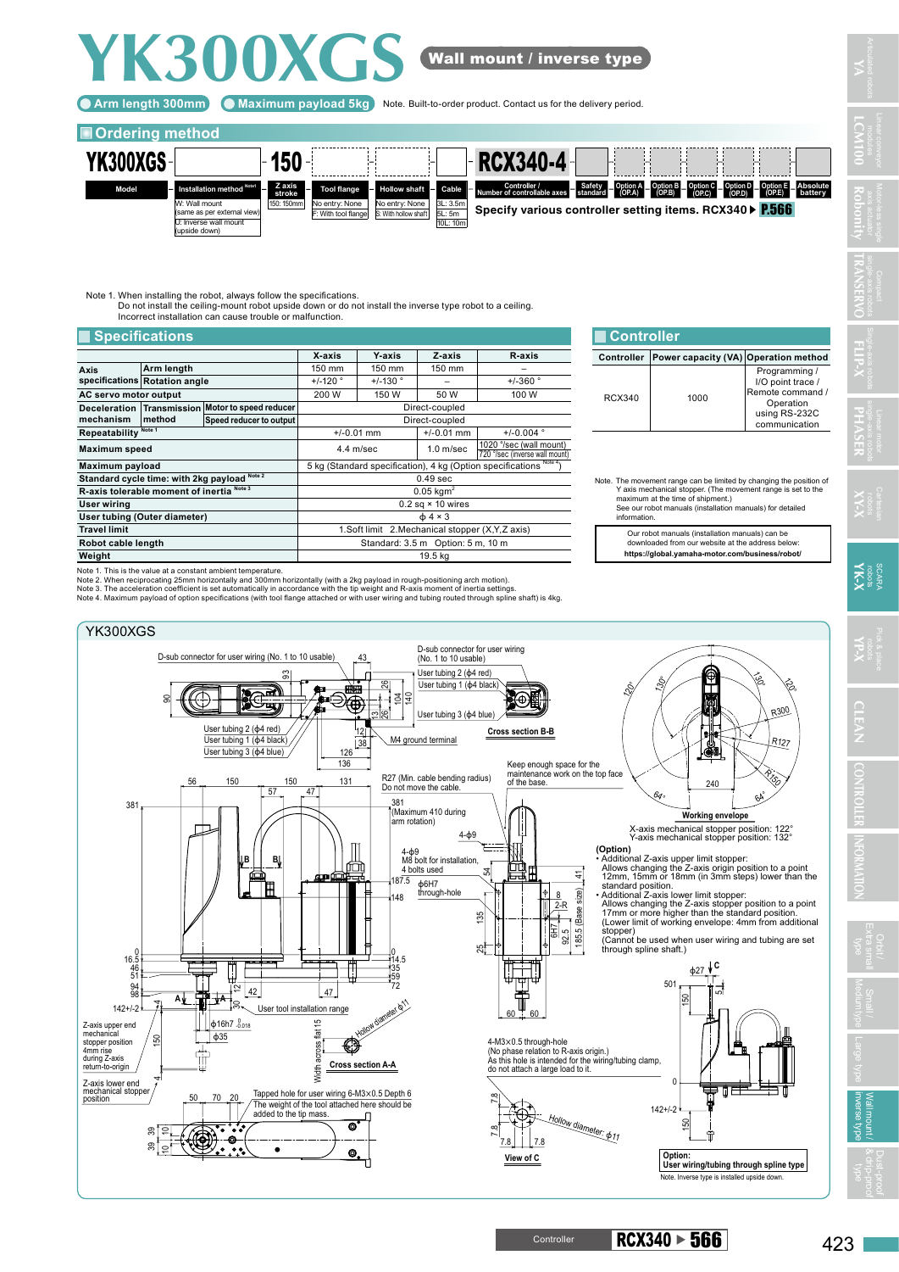## **YK300XGS** Wall mount / inverse type

Arm length 300mm) (C Maximum payload 5kg ) Note. Built-to-order product. Contact us for the delivery period.

## **Ordering method**



Note 1. When installing the robot, always follow the specifications. Do not install the ceiling-mount robot upside down or do not install the inverse type robot to a ceiling. Incorrect installation can cause trouble or malfunction.

| <b>Specifications</b>                        |                               |                         |                                                                    |                                              |                |                                                           |                                                                                                            | l Controller |  |
|----------------------------------------------|-------------------------------|-------------------------|--------------------------------------------------------------------|----------------------------------------------|----------------|-----------------------------------------------------------|------------------------------------------------------------------------------------------------------------|--------------|--|
|                                              |                               |                         | X-axis                                                             | <b>Y</b> axis                                | Z-axis         | R-axis                                                    | Controller                                                                                                 | Power        |  |
| Axis                                         | Arm length                    |                         | 150 mm                                                             | 150 mm                                       | 150 mm         |                                                           |                                                                                                            |              |  |
|                                              | specifications Rotation angle |                         | $+/-120$ $^{\circ}$                                                | $+/-130$ °                                   |                | $+/-360°$                                                 |                                                                                                            |              |  |
| AC servo motor output                        |                               |                         | 200 W                                                              | 150 W                                        | 50 W           | 100 W                                                     | <b>RCX340</b>                                                                                              |              |  |
| Deceleration Transmission                    |                               | Motor to speed reducer  | Direct-coupled                                                     |                                              |                |                                                           |                                                                                                            |              |  |
| mechanism                                    | method                        | Speed reducer to output |                                                                    |                                              | Direct-coupled |                                                           |                                                                                                            |              |  |
| Repeatability <sup>Note 1</sup>              |                               |                         |                                                                    | $+/-0.004$ °<br>$+/-0.01$ mm<br>$+/-0.01$ mm |                |                                                           |                                                                                                            |              |  |
| <b>Maximum</b> speed                         |                               |                         | 4.4 m/sec                                                          |                                              | $1.0$ m/sec    | 1020 °/sec (wall mount)<br>720 °/sec (inverse wall mount) |                                                                                                            |              |  |
| Maximum payload                              |                               |                         | 5 kg (Standard specification), 4 kg (Option specifications Note 4) |                                              |                |                                                           |                                                                                                            |              |  |
| Standard cycle time: with 2kg payload Note 2 |                               |                         | $0.49$ sec                                                         |                                              |                |                                                           | Note. The movement rang<br>Y axis mechanical s<br>maximum at the tim<br>See our robot manu<br>information. |              |  |
| R-axis tolerable moment of inertia Note 3    |                               |                         | $0.05$ kgm <sup>2</sup>                                            |                                              |                |                                                           |                                                                                                            |              |  |
| User wiring                                  |                               |                         | $0.2$ sq $\times$ 10 wires                                         |                                              |                |                                                           |                                                                                                            |              |  |
| User tubing (Outer diameter)                 |                               |                         | $\phi$ 4 × 3                                                       |                                              |                |                                                           |                                                                                                            |              |  |
| <b>Travel limit</b>                          |                               |                         | 1. Soft limit 2. Mechanical stopper (X, Y, Z axis)                 |                                              |                |                                                           | Our robot manua<br>downloaded fror<br>https://global.ya                                                    |              |  |
| Robot cable length                           |                               |                         | Standard: 3.5 m Option: 5 m, 10 m                                  |                                              |                |                                                           |                                                                                                            |              |  |
| Weight                                       |                               |                         | 19.5 kg                                                            |                                              |                |                                                           |                                                                                                            |              |  |

**Controller Power capacity (VA) Operation method** RCX340 1000 Programming / I/O point trace / Remote command / Operation

**YA**

**LCM100**

**TRANSERVO**

**FLIP-X**

**PHASER**

using RS-232C communication

**XY-X**

**X-X-X**<br>cobots

**Robonity**

Note. The movement range can be limited by changing the position of Y axis mechanical stopper. (The movement range is set to the maximum at the time of shipment.) See our robot manuals (installation manuals) for detailed information.

Our robot manuals (installation manuals) can be downloaded from our website at the address below: **https://global.yamaha-motor.com/business/robot/**

Note 1. This is the value at a constant ambient temperature.

Note 2. When reciprocating 25mm horizontally and 300mm horizontally (with a 2kg payload in rough-positioning arch motion).<br>Note 3. The acceleration coefficient is set automatically in accordance with the tip weight and R-a



Wall mount /

Orbit /

& drip-proof